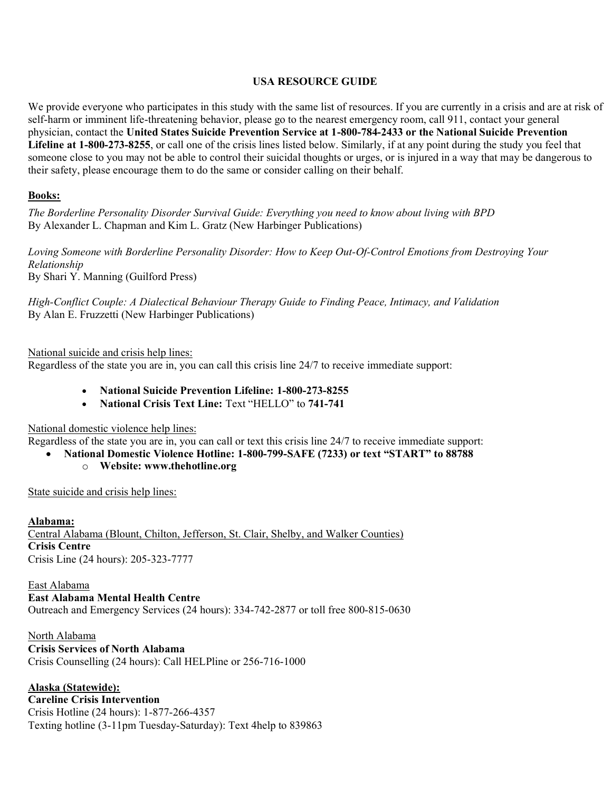#### **USA RESOURCE GUIDE**

We provide everyone who participates in this study with the same list of resources. If you are currently in a crisis and are at risk of self-harm or imminent life-threatening behavior, please go to the nearest emergency room, call 911, contact your general physician, contact the **United States Suicide Prevention Service at 1-800-784-2433 or the National Suicide Prevention Lifeline at 1-800-273-8255**, or call one of the crisis lines listed below. Similarly, if at any point during the study you feel that someone close to you may not be able to control their suicidal thoughts or urges, or is injured in a way that may be dangerous to their safety, please encourage them to do the same or consider calling on their behalf.

### **Books:**

*The Borderline Personality Disorder Survival Guide: Everything you need to know about living with BPD* By Alexander L. Chapman and Kim L. Gratz (New Harbinger Publications)

*Loving Someone with Borderline Personality Disorder: How to Keep Out-Of-Control Emotions from Destroying Your Relationship* By Shari Y. Manning (Guilford Press)

*High-Conflict Couple: A Dialectical Behaviour Therapy Guide to Finding Peace, Intimacy, and Validation* By Alan E. Fruzzetti (New Harbinger Publications)

National suicide and crisis help lines:

Regardless of the state you are in, you can call this crisis line 24/7 to receive immediate support:

- x **National Suicide Prevention Lifeline: 1-800-273-8255**
- **National Crisis Text Line: Text "HELLO" to 741-741**

National domestic violence help lines:

Regardless of the state you are in, you can call or text this crisis line 24/7 to receive immediate support:

• National Domestic Violence Hotline: 1-800-799-SAFE (7233) or text "START" to 88788

o **Website: www.thehotline.org**

State suicide and crisis help lines:

**Alabama:** Central Alabama (Blount, Chilton, Jefferson, St. Clair, Shelby, and Walker Counties) **Crisis Centre** Crisis Line (24 hours): 205-323-7777

East Alabama **East Alabama Mental Health Centre** Outreach and Emergency Services (24 hours): 334-742-2877 or toll free 800-815-0630

North Alabama **Crisis Services of North Alabama** Crisis Counselling (24 hours): Call HELPline or 256-716-1000

**Alaska (Statewide):** 

**Careline Crisis Intervention** Crisis Hotline (24 hours): 1-877-266-4357 Texting hotline (3-11pm Tuesday-Saturday): Text 4help to 839863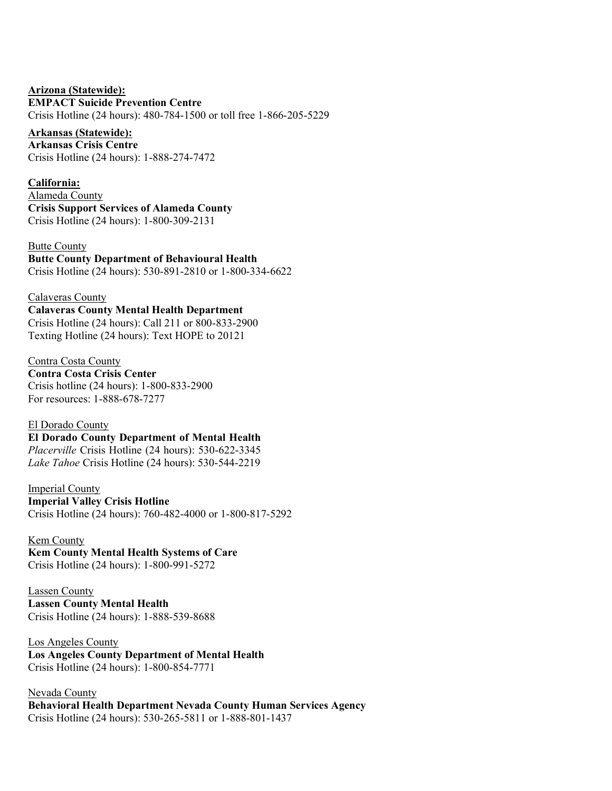### **Arizona (Statewide):**

#### **EMPACT Suicide Prevention Centre**

Crisis Hotline (24 hours): 480-784-1500 or toll free 1-866-205-5229

## **Arkansas (Statewide):**

**Arkansas Crisis Centre** Crisis Hotline (24 hours): 1-888-274-7472

#### **California:**

Alameda County **Crisis Support Services of Alameda County** Crisis Hotline (24 hours): 1-800-309-2131

Butte County **Butte County Department of Behavioural Health**

Crisis Hotline (24 hours): 530-891-2810 or 1-800-334-6622

#### Calaveras County

### **Calaveras County Mental Health Department**

Crisis Hotline (24 hours): Call 211 or 800-833-2900 Texting Hotline (24 hours): Text HOPE to 20121

#### Contra Costa County

**Contra Costa Crisis Center** Crisis hotline (24 hours): 1-800-833-2900 For resources: 1-888-678-7277

#### El Dorado County

**El Dorado County Department of Mental Health**  *Placerville* Crisis Hotline (24 hours): 530-622-3345 *Lake Tahoe* Crisis Hotline (24 hours): 530-544-2219

#### Imperial County **Imperial Valley Crisis Hotline**

Crisis Hotline (24 hours): 760-482-4000 or 1-800-817-5292

#### Kem County

**Kem County Mental Health Systems of Care** Crisis Hotline (24 hours): 1-800-991-5272

#### Lassen County **Lassen County Mental Health** Crisis Hotline (24 hours): 1-888-539-8688

Los Angeles County **Los Angeles County Department of Mental Health** Crisis Hotline (24 hours): 1-800-854-7771

Nevada County **Behavioral Health Department Nevada County Human Services Agency** Crisis Hotline (24 hours): 530-265-5811 or 1-888-801-1437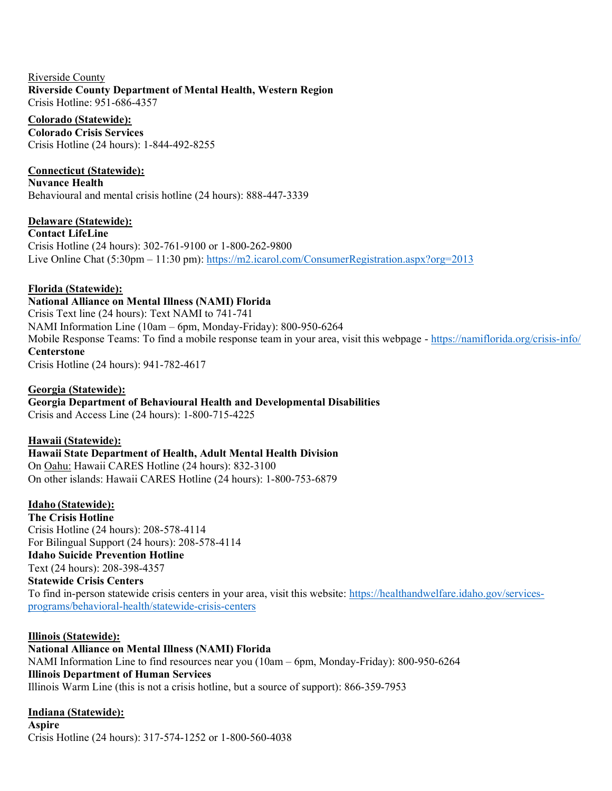Riverside County **Riverside County Department of Mental Health, Western Region** Crisis Hotline: 951-686-4357

#### **Colorado (Statewide):**

**Colorado Crisis Services** Crisis Hotline (24 hours): 1-844-492-8255

### **Connecticut (Statewide):**

**Nuvance Health** Behavioural and mental crisis hotline (24 hours): 888-447-3339

#### **Delaware (Statewide):**

**Contact LifeLine** Crisis Hotline (24 hours): 302-761-9100 or 1-800-262-9800 Live Online Chat  $(5:30 \text{pm} - 11:30 \text{pm})$ : https://m2.jcarol.com/ConsumerRegistration.aspx?org=2013

#### **Florida (Statewide):**

### **National Alliance on Mental Illness (NAMI) Florida**

Crisis Text line (24 hours): Text NAMI to 741-741 NAMI Information Line  $(10am - 6pm)$ . Monday-Friday): 800-950-6264 Mobile Response Teams: To find a mobile response team in your area, visit this webpage - <https://namiflorida.org/crisis-info/> **Centerstone**

Crisis Hotline (24 hours): 941-782-4617

### **Georgia (Statewide):**

### **Georgia Department of Behavioural Health and Developmental Disabilities**

Crisis and Access Line (24 hours): 1-800-715-4225

#### **Hawaii (Statewide):**

### **Hawaii State Department of Health, Adult Mental Health Division**

On Oahu: Hawaii CARES Hotline (24 hours): 832-3100 On other islands: Hawaii CARES Hotline (24 hours): 1-800-753-6879

### **Idaho (Statewide):**

**The Crisis Hotline** Crisis Hotline (24 hours): 208-578-4114 For Bilingual Support (24 hours): 208-578-4114 **Idaho Suicide Prevention Hotline**  Text (24 hours): 208-398-4357

#### **Statewide Crisis Centers**

To find in-person statewide crisis centers in your area, visit this website: [https://healthandwelfare.idaho.gov/services](https://healthandwelfare.idaho.gov/services-programs/behavioral-health/statewide-crisis-centers)[programs/behavioral-health/statewide-crisis-centers](https://healthandwelfare.idaho.gov/services-programs/behavioral-health/statewide-crisis-centers)

#### **Illinois (Statewide):**

### **National Alliance on Mental Illness (NAMI) Florida**

NAMI Information Line to find resources near you  $(10am - 6pm)$ , Monday-Friday): 800-950-6264 **Illinois Department of Human Services** Illinois Warm Line (this is not a crisis hotline, but a source of support): 866-359-7953

### **Indiana (Statewide):**

**Aspire** Crisis Hotline (24 hours): 317-574-1252 or 1-800-560-4038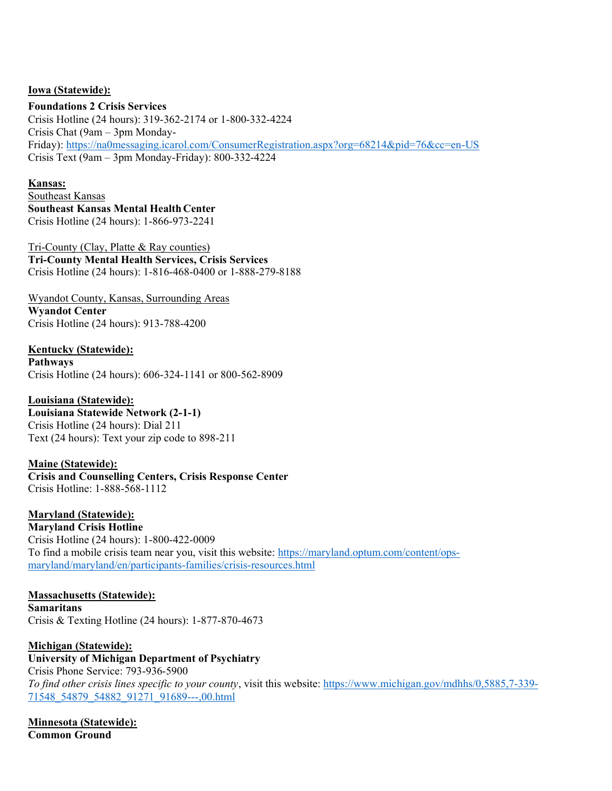### **Iowa (Statewide):**

#### **Foundations 2 Crisis Services**

Crisis Hotline (24 hours): 319-362-2174 or 1-800-332-4224 Crisis Chat  $(9am - 3pm$  MondayFriday):<https://na0messaging.icarol.com/ConsumerRegistration.aspx?org=68214&pid=76&cc=en-US> Crisis Text ( $9am - 3pm$  Monday-Friday): 800-332-4224

### **Kansas:**

Southeast Kansas **Southeast Kansas Mental HealthCenter** Crisis Hotline (24 hours): 1-866-973-2241

Tri-County (Clay, Platte & Ray counties) **Tri-County Mental Health Services, Crisis Services** Crisis Hotline (24 hours): 1-816-468-0400 or 1-888-279-8188

Wyandot County, Kansas, Surrounding Areas **Wyandot Center** Crisis Hotline (24 hours): 913-788-4200

**Kentucky (Statewide): Pathways** Crisis Hotline (24 hours): 606-324-1141 or 800-562-8909

**Louisiana (Statewide): Louisiana Statewide Network (2-1-1)** Crisis Hotline (24 hours): Dial 211 Text (24 hours): Text your zip code to 898-211

**Maine (Statewide): Crisis and Counselling Centers, Crisis Response Center** Crisis Hotline: 1-888-568-1112

**Maryland (Statewide): Maryland Crisis Hotline** Crisis Hotline (24 hours): 1-800-422-0009 To find a mobile crisis team near you, visit this website: [https://maryland.optum.com/content/ops](https://maryland.optum.com/content/ops-maryland/maryland/en/participants-families/crisis-resources.html)[maryland/maryland/en/participants-families/crisis-resources.html](https://maryland.optum.com/content/ops-maryland/maryland/en/participants-families/crisis-resources.html)

**Massachusetts (Statewide): Samaritans** Crisis & Texting Hotline (24 hours): 1-877-870-4673

**Michigan (Statewide): University of Michigan Department of Psychiatry** Crisis Phone Service: 793-936-5900 *To find other crisis lines specific to your county*, visit this website: [https://www.michigan.gov/mdhhs/0,5885,7-339-](https://www.michigan.gov/mdhhs/0,5885,7-339-71548_54879_54882_91271_91689---,00.html) [71548\\_54879\\_54882\\_91271\\_91689---,00.html](https://www.michigan.gov/mdhhs/0,5885,7-339-71548_54879_54882_91271_91689---,00.html)

**Minnesota (Statewide): Common Ground**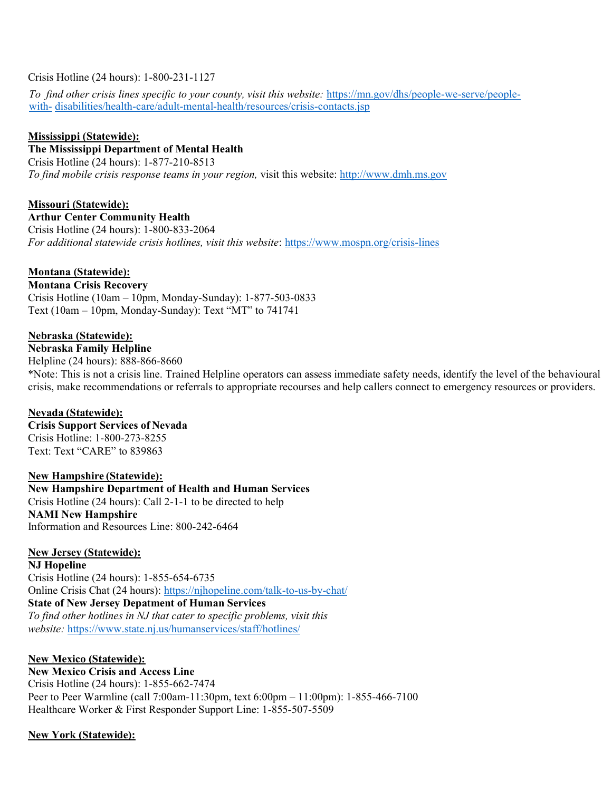### Crisis Hotline (24 hours): 1-800-231-1127

*To find other crisis lines specific to your county, visit this website:* [https://mn.gov/dhs/people-we-serve/people](https://mn.gov/dhs/people-we-serve/people-with-disabilities/health-care/adult-mental-health/resources/crisis-contacts.jsp)[with-](https://mn.gov/dhs/people-we-serve/people-with-disabilities/health-care/adult-mental-health/resources/crisis-contacts.jsp) [disabilities/health-care/adult-mental-health/resources/crisis-contacts.jsp](https://mn.gov/dhs/people-we-serve/people-with-disabilities/health-care/adult-mental-health/resources/crisis-contacts.jsp)

### **Mississippi (Statewide):**

**The Mississippi Department of Mental Health**

Crisis Hotline (24 hours): 1-877-210-8513 *To find mobile crisis response teams in your region,* visit this website: [http://www.dmh.ms.gov](http://www.dmh.ms.gov/)

**Missouri (Statewide): Arthur Center Community Health** Crisis Hotline (24 hours): 1-800-833-2064 *For additional statewide crisis hotlines, visit this website*:<https://www.mospn.org/crisis-lines>

### **Montana (Statewide):**

**Montana Crisis Recovery** Crisis Hotline (10am  $-$  10pm, Monday-Sunday): 1-877-503-0833 Text (10am  $-$  10pm, Monday-Sunday): Text "MT" to 741741

### **Nebraska (Statewide):**

# **Nebraska Family Helpline**

Helpline (24 hours): 888-866-8660

\*Note: This is not a crisis line. Trained Helpline operators can assess immediate safety needs, identify the level of the behavioural crisis, make recommendations or referrals to appropriate recourses and help callers connect to emergency resources or providers.

### **Nevada (Statewide):**

**Crisis Support Services of Nevada**  Crisis Hotline: 1-800-273-8255 Text: Text "CARE" to 839863

**New Hampshire (Statewide):**

**New Hampshire Department of Health and Human Services**  Crisis Hotline (24 hours): Call 2-1-1 to be directed to help **NAMI New Hampshire** Information and Resources Line: 800-242-6464

### **New Jersey (Statewide):**

**NJ Hopeline** Crisis Hotline (24 hours): 1-855-654-6735 Online Crisis Chat (24 hours):<https://njhopeline.com/talk-to-us-by-chat/> **State of New Jersey Depatment of Human Services** *To find other hotlines in NJ that cater to specific problems, visit this website:* <https://www.state.nj.us/humanservices/staff/hotlines/>

### **New Mexico (Statewide):**

**New Mexico Crisis and Access Line** Crisis Hotline (24 hours): 1-855-662-7474 Peer to Peer Warmline (call 7:00am-11:30pm, text 6:00pm - 11:00pm): 1-855-466-7100 Healthcare Worker & First Responder Support Line: 1-855-507-5509

**New York (Statewide):**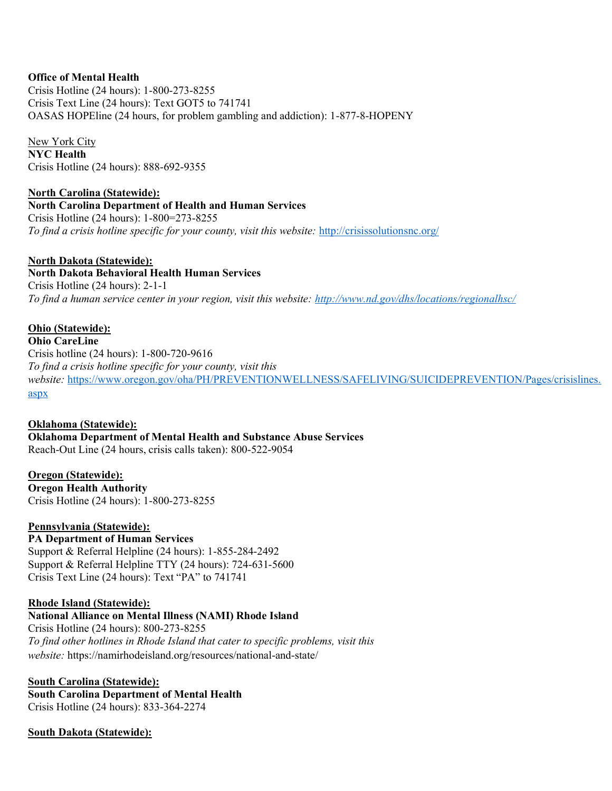### **Office of Mental Health**

Crisis Hotline (24 hours): 1-800-273-8255 Crisis Text Line (24 hours): Text GOT5 to 741741 OASAS HOPEline (24 hours, for problem gambling and addiction): 1-877-8-HOPENY

New York City **NYC Health** Crisis Hotline (24 hours): 888-692-9355

**North Carolina (Statewide): North Carolina Department of Health and Human Services** Crisis Hotline (24 hours): 1-800=273-8255 *To find a crisis hotline specific for your county, visit this website:* <http://crisissolutionsnc.org/>

**North Dakota (Statewide): North Dakota Behavioral Health Human Services** Crisis Hotline (24 hours): 2-1-1 *To find a human service center in your region, visit this website:<http://www.nd.gov/dhs/locations/regionalhsc/>*

#### **Ohio (Statewide):**

**Ohio CareLine** Crisis hotline (24 hours): 1-800-720-9616 *To find a crisis hotline specific for your county, visit this website:* [https://www.oregon.gov/oha/PH/PREVENTIONWELLNESS/SAFELIVING/SUICIDEPREVENTION/Pages/crisislines.](https://www.oregon.gov/oha/PH/PREVENTIONWELLNESS/SAFELIVING/SUICIDEPREVENTION/Pages/crisislines.aspx) [aspx](https://www.oregon.gov/oha/PH/PREVENTIONWELLNESS/SAFELIVING/SUICIDEPREVENTION/Pages/crisislines.aspx)

**Oklahoma (Statewide): Oklahoma Department of Mental Health and Substance Abuse Services** Reach-Out Line (24 hours, crisis calls taken): 800-522-9054

**Oregon (Statewide): Oregon Health Authority** Crisis Hotline (24 hours): 1-800-273-8255

**Pennsylvania (Statewide): PA Department of Human Services** Support & Referral Helpline (24 hours): 1-855-284-2492 Support & Referral Helpline TTY (24 hours): 724-631-5600 Crisis Text Line (24 hours): Text "PA" to 741741

#### **Rhode Island (Statewide):**

**National Alliance on Mental Illness (NAMI) Rhode Island** Crisis Hotline (24 hours): 800-273-8255 *To find other hotlines in Rhode Island that cater to specific problems, visit this website:* https://namirhodeisland.org/resources/national-and-state/

**South Carolina (Statewide): South Carolina Department of Mental Health** Crisis Hotline (24 hours): 833-364-2274

**South Dakota (Statewide):**